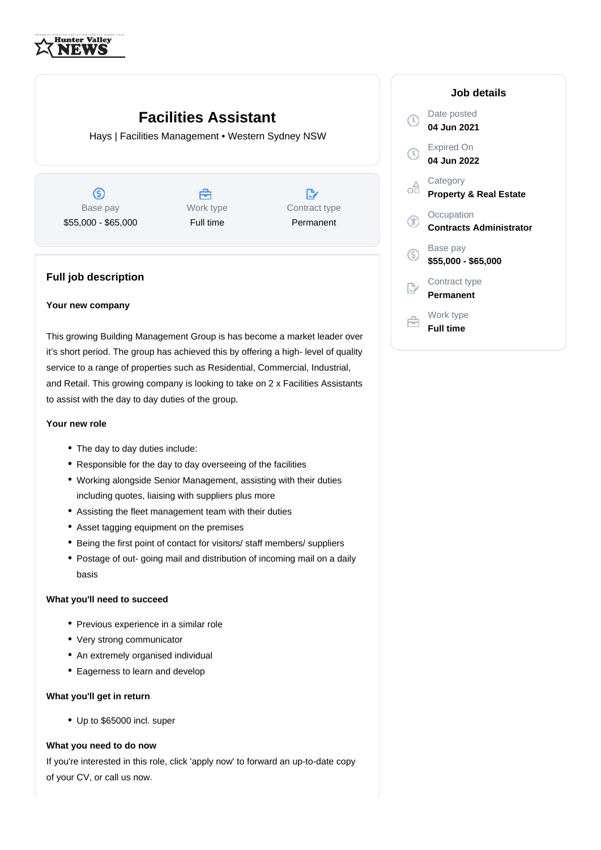

# **Facilities Assistant**

Hays | Facilities Management • Western Sydney NSW

 $\circledS$ Base pay \$55,000 - \$65,000



 $\mathbb{R}^n$ Contract type Permanent

# **Full job description**

#### **Your new company**

This growing Building Management Group is has become a market leader over it's short period. The group has achieved this by offering a high- level of quality service to a range of properties such as Residential, Commercial, Industrial, and Retail. This growing company is looking to take on 2 x Facilities Assistants to assist with the day to day duties of the group.

## **Your new role**

- The day to day duties include:
- Responsible for the day to day overseeing of the facilities
- Working alongside Senior Management, assisting with their duties including quotes, liaising with suppliers plus more
- Assisting the fleet management team with their duties
- Asset tagging equipment on the premises
- Being the first point of contact for visitors/ staff members/ suppliers
- Postage of out- going mail and distribution of incoming mail on a daily basis

## **What you'll need to succeed**

- Previous experience in a similar role
- Very strong communicator
- An extremely organised individual
- Eagerness to learn and develop

#### **What you'll get in return**

Up to \$65000 incl. super

## **What you need to do now**

If you're interested in this role, click 'apply now' to forward an up-to-date copy of your CV, or call us now.

| Job details                                   |
|-----------------------------------------------|
| Date posted<br>04 Jun 2021                    |
| Expired On<br>04 Jun 2022                     |
| Category<br><b>Property &amp; Real Estate</b> |
| Occupation<br><b>Contracts Administrator</b>  |
| Base pay<br>\$55,000 - \$65,000               |
| Contract type<br>Permanent                    |
| Work type<br><b>Full time</b>                 |